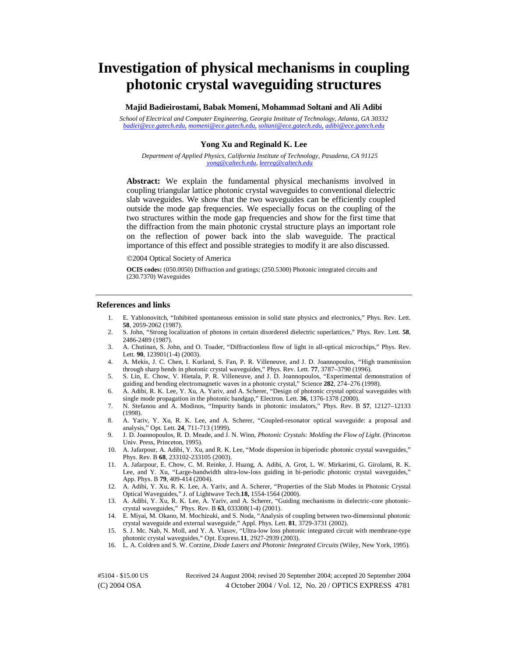# **Investigation of physical mechanisms in coupling photonic crystal waveguiding structures**

**Majid Badieirostami, Babak Momeni, Mohammad Soltani and Ali Adibi** 

*School of Electrical and Computer Engineering, Georgia Institute of Technology, Atlanta, GA 30332 [badiei@ece.gatech.edu](mailto:badiei@ece.gatech.edu)[, momeni@ece.gatech.edu,](mailto:momeni@ece.gatech.edu) [soltani@ece.gatech.edu,](mailto:soltani@ece.gatech.edu) [adibi@ece.gatech.edu](mailto:adibi@ece.gatech.edu)*

## **Yong Xu and Reginald K. Lee**

*Department of Applied Physics, California Institute of Technology, Pasadena, CA 91125 [yong@caltech.edu,](mailto:yong@caltech.edu) [leereg@caltech.edu](mailto:leereg@caltech.edu)* 

**Abstract:** We explain the fundamental physical mechanisms involved in coupling triangular lattice photonic crystal waveguides to conventional dielectric slab waveguides. We show that the two waveguides can be efficiently coupled outside the mode gap frequencies. We especially focus on the coupling of the two structures within the mode gap frequencies and show for the first time that the diffraction from the main photonic crystal structure plays an important role on the reflection of power back into the slab waveguide. The practical importance of this effect and possible strategies to modify it are also discussed.

2004 Optical Society of America

**OCIS codes:** (050.0050) Diffraction and gratings; (250.5300) Photonic integrated circuits and (230.7370) Waveguides

#### **References and links**

- 1. E. Yablonovitch, "Inhibited spontaneous emission in solid state physics and electronics," Phys. Rev. Lett. **58**, 2059-2062 (1987).
- 2. S. John, "Strong localization of photons in certain disordered dielectric superlattices," Phys. Rev. Lett*.* **58**, 2486-2489 (1987).
- 3. A. Chutinan, S. John, and O. Toader, "Diffractionless flow of light in all-optical microchips," Phys. Rev. Lett*.* **90**, 123901(1-4) (2003).
- 4. A. Mekis, J. C. Chen, I. Kurland, S. Fan, P. R. Villeneuve, and J. D. Joannopoulos, "High transmission through sharp bends in photonic crystal waveguides," Phys. Rev. Lett. **77**, 3787–3790 (1996).
- 5. S. Lin, E. Chow, V. Hietala, P. R. Villeneuve, and J. D. Joannopoulos, "Experimental demonstration of guiding and bending electromagnetic waves in a photonic crystal," Science **282**, 274–276 (1998).
- 6. A. Adibi, R. K. Lee, Y. Xu, A. Yariv, and A. Scherer, "Design of photonic crystal optical waveguides with single mode propagation in the photonic bandgap," Electron. Lett. **36**, 1376-1378 (2000).
- 7. N. Stefanou and A. Modinos, "Impurity bands in photonic insulators," Phys. Rev. B **57**, 12127–12133 (1998).
- 8. A. Yariv, Y. Xu, R. K. Lee, and A. Scherer, "Coupled-resonator optical waveguide: a proposal and analysis," Opt. Lett*.* **24**, 711-713 (1999).
- 9. J. D. Joannopoulos, R. D. Meade, and J. N. Winn, *Photonic Crystals: Molding the Flow of Light*. (Princeton Univ. Press, Princeton, 1995).
- 10. A. Jafarpour, A. Adibi, Y. Xu, and R. K. Lee, "Mode dispersion in biperiodic photonic crystal waveguides," Phys. Rev. B **68**, 233102-233105 (2003).
- 11. A. Jafarpour, E. Chow, C. M. Reinke, J. Huang, A. Adibi, A. Grot, L. W. Mirkarimi, G. Girolami, R. K. Lee, and Y. Xu, "Large-bandwidth ultra-low-loss guiding in bi-periodic photonic crystal waveguides," App. Phys. B **79**, 409-414 (2004).
- 12. A. Adibi, Y. Xu, R. K. Lee, A. Yariv, and A. Scherer, "Properties of the Slab Modes in Photonic Crystal Optical Waveguides," J. of Lightwave Tech.**18,** 1554-1564 (2000).
- 13. A. Adibi, Y. Xu, R. K. Lee, A. Yariv, and A. Scherer, "Guiding mechanisms in dielectric-core photoniccrystal waveguides," Phys. Rev. B **63**, 033308(1-4) (2001).
- 14. E. Miyai, M. Okano, M. Mochizuki, and S. Noda, "Analysis of coupling between two-dimensional photonic crystal waveguide and external waveguide," Appl. Phys. Lett. **81**, 3729-3731 (2002).
- 15. S. J. Mc. Nab, N. Moll, and Y. A. Vlasov, "Ultra-low loss photonic integrated circuit with membrane-type photonic crystal waveguides," Opt. Express*.***11**, 2927-2939 (2003).
- 16. L. A. Coldren and S. W. Corzine, *Diode Lasers and Photonic Integrated Circuits* (Wiley, New York, 1995).

(C) 2004 OSA 4 October 2004 / Vol. 12, No. 20 / OPTICS EXPRESS 4781 #5104 - \$15.00 US Received 24 August 2004; revised 20 September 2004; accepted 20 September 2004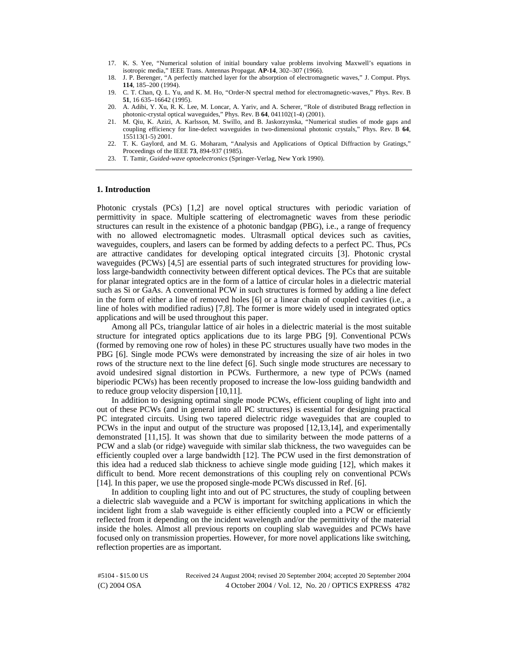- 17. K. S. Yee, "Numerical solution of initial boundary value problems involving Maxwell's equations in isotropic media," IEEE Trans. Antennas Propagat*.* **AP-14**, 302–307 (1966).
- 18. J. P. Berenger, "A perfectly matched layer for the absorption of electromagnetic waves," J. Comput. Phys*.* **114**, 185–200 (1994).
- 19. C. T. Chan, Q. L. Yu, and K. M. Ho, "Order-N spectral method for electromagnetic-waves," Phys. Rev. B **51**, 16 635–16642 (1995).
- 20. A. Adibi, Y. Xu, R. K. Lee, M. Loncar, A. Yariv, and A. Scherer, "Role of distributed Bragg reflection in photonic-crystal optical waveguides," Phys. Rev. B **64**, 041102(1-4) (2001).
- 21. M. Qiu, K. Azizi, A. Karlsson, M. Swillo, and B. Jaskorzynska, "Numerical studies of mode gaps and coupling efficiency for line-defect waveguides in two-dimensional photonic crystals," Phys. Rev. B **64**, 155113(1-5) 2001.
- 22. T. K. Gaylord, and M. G. Moharam, "Analysis and Applications of Optical Diffraction by Gratings," Proceedings of the IEEE **73**, 894-937 (1985).
- 23. T. Tamir, *Guided-wave optoelectronics* (Springer-Verlag, New York 1990).

#### **1. Introduction**

Photonic crystals (PCs) [1,2] are novel optical structures with periodic variation of permittivity in space. Multiple scattering of electromagnetic waves from these periodic structures can result in the existence of a photonic bandgap (PBG), i.e., a range of frequency with no allowed electromagnetic modes. Ultrasmall optical devices such as cavities, waveguides, couplers, and lasers can be formed by adding defects to a perfect PC. Thus, PCs are attractive candidates for developing optical integrated circuits [3]. Photonic crystal waveguides (PCWs) [4,5] are essential parts of such integrated structures for providing lowloss large-bandwidth connectivity between different optical devices. The PCs that are suitable for planar integrated optics are in the form of a lattice of circular holes in a dielectric material such as Si or GaAs. A conventional PCW in such structures is formed by adding a line defect in the form of either a line of removed holes [6] or a linear chain of coupled cavities (i.e., a line of holes with modified radius) [7,8]. The former is more widely used in integrated optics applications and will be used throughout this paper.

Among all PCs, triangular lattice of air holes in a dielectric material is the most suitable structure for integrated optics applications due to its large PBG [9]. Conventional PCWs (formed by removing one row of holes) in these PC structures usually have two modes in the PBG [6]. Single mode PCWs were demonstrated by increasing the size of air holes in two rows of the structure next to the line defect [6]. Such single mode structures are necessary to avoid undesired signal distortion in PCWs. Furthermore, a new type of PCWs (named biperiodic PCWs) has been recently proposed to increase the low-loss guiding bandwidth and to reduce group velocity dispersion [10,11].

In addition to designing optimal single mode PCWs, efficient coupling of light into and out of these PCWs (and in general into all PC structures) is essential for designing practical PC integrated circuits. Using two tapered dielectric ridge waveguides that are coupled to PCWs in the input and output of the structure was proposed [12,13,14], and experimentally demonstrated [11,15]. It was shown that due to similarity between the mode patterns of a PCW and a slab (or ridge) waveguide with similar slab thickness, the two waveguides can be efficiently coupled over a large bandwidth [12]. The PCW used in the first demonstration of this idea had a reduced slab thickness to achieve single mode guiding [12], which makes it difficult to bend. More recent demonstrations of this coupling rely on conventional PCWs [14]. In this paper, we use the proposed single-mode PCWs discussed in Ref. [6].

In addition to coupling light into and out of PC structures, the study of coupling between a dielectric slab waveguide and a PCW is important for switching applications in which the incident light from a slab waveguide is either efficiently coupled into a PCW or efficiently reflected from it depending on the incident wavelength and/or the permittivity of the material inside the holes. Almost all previous reports on coupling slab waveguides and PCWs have focused only on transmission properties. However, for more novel applications like switching, reflection properties are as important.

(C) 2004 OSA 4 October 2004 / Vol. 12, No. 20 / OPTICS EXPRESS 4782 #5104 - \$15.00 US Received 24 August 2004; revised 20 September 2004; accepted 20 September 2004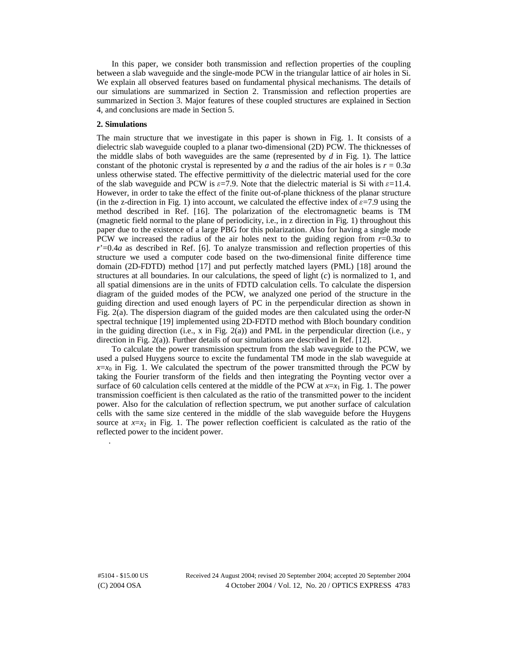In this paper, we consider both transmission and reflection properties of the coupling between a slab waveguide and the single-mode PCW in the triangular lattice of air holes in Si. We explain all observed features based on fundamental physical mechanisms. The details of our simulations are summarized in Section 2. Transmission and reflection properties are summarized in Section 3. Major features of these coupled structures are explained in Section 4, and conclusions are made in Section 5.

# **2. Simulations**

The main structure that we investigate in this paper is shown in Fig. 1. It consists of a dielectric slab waveguide coupled to a planar two-dimensional (2D) PCW. The thicknesses of the middle slabs of both waveguides are the same (represented by *d* in Fig. 1). The lattice constant of the photonic crystal is represented by *a* and the radius of the air holes is  $r = 0.3a$ unless otherwise stated. The effective permittivity of the dielectric material used for the core of the slab waveguide and PCW is  $\varepsilon$ =7.9. Note that the dielectric material is Si with  $\varepsilon$ =11.4. However, in order to take the effect of the finite out-of-plane thickness of the planar structure (in the z-direction in Fig. 1) into account, we calculated the effective index of  $\varepsilon$ =7.9 using the method described in Ref. [16]. The polarization of the electromagnetic beams is TM (magnetic field normal to the plane of periodicity, i.e., in z direction in Fig. 1) throughout this paper due to the existence of a large PBG for this polarization. Also for having a single mode PCW we increased the radius of the air holes next to the guiding region from *r*=0.3*a* to *r*'=0.4*a* as described in Ref. [6]. To analyze transmission and reflection properties of this structure we used a computer code based on the two-dimensional finite difference time domain (2D-FDTD) method [17] and put perfectly matched layers (PML) [18] around the structures at all boundaries. In our calculations, the speed of light (*c*) is normalized to 1, and all spatial dimensions are in the units of FDTD calculation cells. To calculate the dispersion diagram of the guided modes of the PCW, we analyzed one period of the structure in the guiding direction and used enough layers of PC in the perpendicular direction as shown in Fig. 2(a). The dispersion diagram of the guided modes are then calculated using the order-N spectral technique [19] implemented using 2D-FDTD method with Bloch boundary condition in the guiding direction (i.e., x in Fig. 2(a)) and PML in the perpendicular direction (i.e., y direction in Fig.  $2(a)$ ). Further details of our simulations are described in Ref. [12].

To calculate the power transmission spectrum from the slab waveguide to the PCW, we used a pulsed Huygens source to excite the fundamental TM mode in the slab waveguide at  $x=x_0$  in Fig. 1. We calculated the spectrum of the power transmitted through the PCW by taking the Fourier transform of the fields and then integrating the Poynting vector over a surface of 60 calculation cells centered at the middle of the PCW at  $x=x_1$  in Fig. 1. The power transmission coefficient is then calculated as the ratio of the transmitted power to the incident power. Also for the calculation of reflection spectrum, we put another surface of calculation cells with the same size centered in the middle of the slab waveguide before the Huygens source at  $x=x_2$  in Fig. 1. The power reflection coefficient is calculated as the ratio of the reflected power to the incident power.

.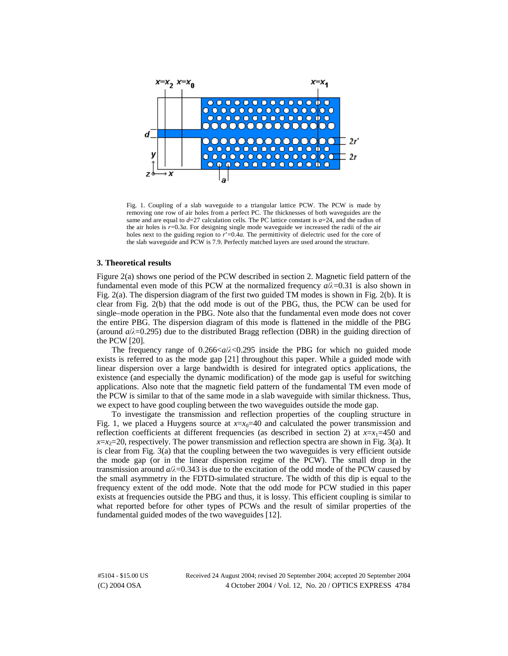

Fig. 1. Coupling of a slab waveguide to a triangular lattice PCW. The PCW is made by removing one row of air holes from a perfect PC. The thicknesses of both waveguides are the same and are equal to  $d=27$  calculation cells. The PC lattice constant is  $a=24$ , and the radius of the air holes is  $r=0.3a$ . For designing single mode waveguide we increased the radii of the air holes next to the guiding region to  $\vec{r}$  =0.4*a*. The permittivity of dielectric used for the core of the slab waveguide and PCW is 7.9. Perfectly matched layers are used around the structure.

# **3. Theoretical results**

Figure 2(a) shows one period of the PCW described in section 2. Magnetic field pattern of the fundamental even mode of this PCW at the normalized frequency  $a/\lambda = 0.31$  is also shown in Fig. 2(b) It is Fig. 2(a). The dispersion diagram of the first two guided TM modes is shown in Fig. 2(b). It is clear from Fig. 2(b) that the odd mode is out of the PBG, thus, the PCW can be used for single–mode operation in the PBG. Note also that the fundamental even mode does not cover the entire PBG. The dispersion diagram of this mode is flattened in the middle of the PBG (around  $a/\lambda$ =0.295) due to the distributed Bragg reflection (DBR) in the guiding direction of the PCW [20] the PCW [20].

The frequency range of  $0.266 \le a/\lambda \le 0.295$  inside the PBG for which no guided mode mode s is referred to as the mode gap [21] throughout this paper. While a guided mode with exists is referred to as the mode gap [21] throughout this paper. While a guided mode with linear dispersion over a large bandwidth is desired for integrated optics applications, the existence (and especially the dynamic modification) of the mode gap is useful for switching applications. Also note that the magnetic field pattern of the fundamental TM even mode of the PCW is similar to that of the same mode in a slab waveguide with similar thickness. Thus, we expect to have good coupling between the two waveguides outside the mode gap.

To investigate the transmission and reflection properties of the coupling structure in Fig. 1, we placed a Huygens source at  $x=x_0=40$  and calculated the power transmission and reflection coefficients at different frequencies (as described in section 2) at  $x=x_1=450$  and  $x=x_2=20$ , respectively. The power transmission and reflection spectra are shown in Fig. 3(a). It is clear from Fig. 3(a) that the coupling between the two waveguides is very efficient outside the mode gap (or in the linear dispersion regime of the PCW). The small drop in the transmission around  $a/\lambda = 0.343$  is due to the excitation of the odd mode of the PCW caused by the small asymmetry in the FDTD-simulated structure. The width of this din is equal to the the small asymmetry in the FDTD-simulated structure. The width of this dip is equal to the frequency extent of the odd mode. Note that the odd mode for PCW studied in this paper exists at frequencies outside the PBG and thus, it is lossy. This efficient coupling is similar to what reported before for other types of PCWs and the result of similar properties of the fundamental guided modes of the two waveguides [12].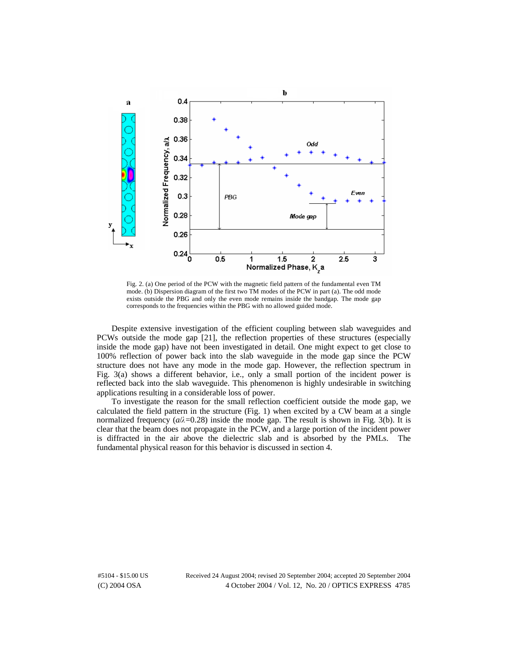

Fig. 2. (a) One period of the PCW with the magnetic field pattern of the fundamental even TM mode. (b) Dispersion diagram of the first two TM modes of the PCW in part (a). The odd mode exists outside the PBG and only the even mode remains inside the bandgap. The mode gap corresponds to the frequencies within the PBG with no allowed guided mode.

Despite extensive investigation of the efficient coupling between slab waveguides and PCWs outside the mode gap [21], the reflection properties of these structures (especially inside the mode gap) have not been investigated in detail. One might expect to get close to 100% reflection of power back into the slab waveguide in the mode gap since the PCW structure does not have any mode in the mode gap. However, the reflection spectrum in Fig. 3(a) shows a different behavior, i.e., only a small portion of the incident power is reflected back into the slab waveguide. This phenomenon is highly undesirable in switching applications resulting in a considerable loss of power.

To investigate the reason for the small reflection coefficient outside the mode gap, we calculated the field pattern in the structure (Fig. 1) when excited by a CW beam at a single normalized frequency  $(a/\lambda=0.28)$  inside the mode gap. The result is shown in Fig. 3(b). It is clear that the beam does not propagate in the PCW and a large portion of the incident power clear that the beam does not propagate in the PCW, and a large portion of the incident power is diffracted in the air above the dielectric slab and is absorbed by the PMLs. The fundamental physical reason for this behavior is discussed in section 4.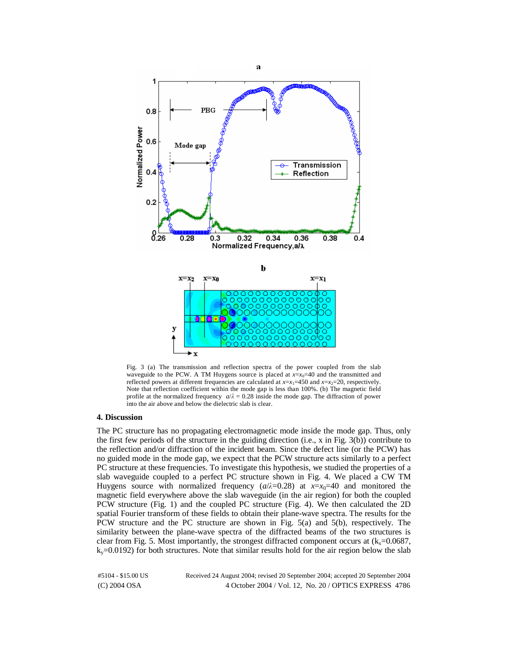

Fig. 3 (a) The transmission and reflection spectra of the power coupled from the slab waveguide to the PCW. A TM Huygens source is placed at  $x=x_0=40$  and the transmitted and reflected powers at different frequencies are calculated at  $x=x_1=450$  and  $x=x_2=20$ , respectively. Note that reflection coefficient within the mode gap is less than 100%. (b) The magnetic field profile at the normalized frequency  $a/\lambda = 0.28$  inside the mode gap. The diffraction of power into the air above and below the dielectric slab is clear.

#### **4. Discussion**

The PC structure has no propagating electromagnetic mode inside the mode gap. Thus, only the first few periods of the structure in the guiding direction (i.e., x in Fig. 3(b)) contribute to the reflection and/or diffraction of the incident beam. Since the defect line (or the PCW) has no guided mode in the mode gap, we expect that the PCW structure acts similarly to a perfect PC structure at these frequencies. To investigate this hypothesis, we studied the properties of a slab waveguide coupled to a perfect PC structure shown in Fig. 4. We placed a CW TM Huygens source with normalized frequency  $(a/\lambda=0.28)$  at  $x=x_0=40$  and monitored the magnetic field everywhere above the slab waveguide (in the air region) for both the coupled magnetic field everywhere above the slab waveguide (in the air region) for both the coupled PCW structure (Fig. 1) and the coupled PC structure (Fig. 4). We then calculated the 2D spatial Fourier transform of these fields to obtain their plane-wave spectra. The results for the PCW structure and the PC structure are shown in Fig. 5(a) and 5(b), respectively. The similarity between the plane-wave spectra of the diffracted beams of the two structures is clear from Fig. 5. Most importantly, the strongest diffracted component occurs at  $(k_x=0.0687,$  $k_y$ =0.0192) for both structures. Note that similar results hold for the air region below the slab

(C) 2004 OSA 4 October 2004 / Vol. 12, No. 20 / OPTICS EXPRESS 4786 #5104 - \$15.00 US Received 24 August 2004; revised 20 September 2004; accepted 20 September 2004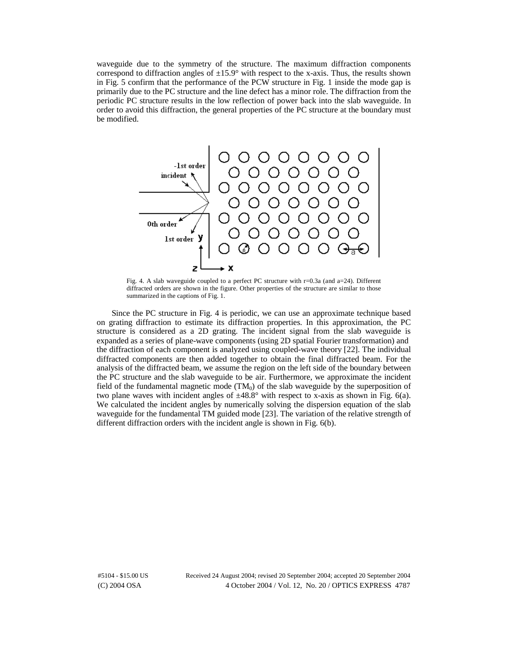waveguide due to the symmetry of the structure. The maximum diffraction components correspond to diffraction angles of  $\pm 15.9^\circ$  with respect to the x-axis. Thus, the results shown in Fig. 5 confirm that the performance of the PCW structure in Fig. 1 inside the mode gap is primarily due to the PC structure and the line defect has a minor role. The diffraction from the periodic PC structure results in the low reflection of power back into the slab waveguide. In order to avoid this diffraction, the general properties of the PC structure at the boundary must be modified.



Fig. 4. A slab waveguide coupled to a perfect PC structure with r=0.3a (and a=24). Different diffracted orders are shown in the figure. Other properties of the structure are similar to those summarized in the captions of Fig. 1.

Since the PC structure in Fig. 4 is periodic, we can use an approximate technique based on grating diffraction to estimate its diffraction properties. In this approximation, the PC structure is considered as a 2D grating. The incident signal from the slab waveguide is expanded as a series of plane-wave components (using 2D spatial Fourier transformation) and the diffraction of each component is analyzed using coupled-wave theory [22]. The individual diffracted components are then added together to obtain the final diffracted beam. For the analysis of the diffracted beam, we assume the region on the left side of the boundary between the PC structure and the slab waveguide to be air. Furthermore, we approximate the incident field of the fundamental magnetic mode  $(TM_0)$  of the slab waveguide by the superposition of two plane waves with incident angles of  $\pm 48.8^{\circ}$  with respect to x-axis as shown in Fig. 6(a). We calculated the incident angles by numerically solving the dispersion equation of the slab waveguide for the fundamental TM guided mode [23]. The variation of the relative strength of different diffraction orders with the incident angle is shown in Fig. 6(b).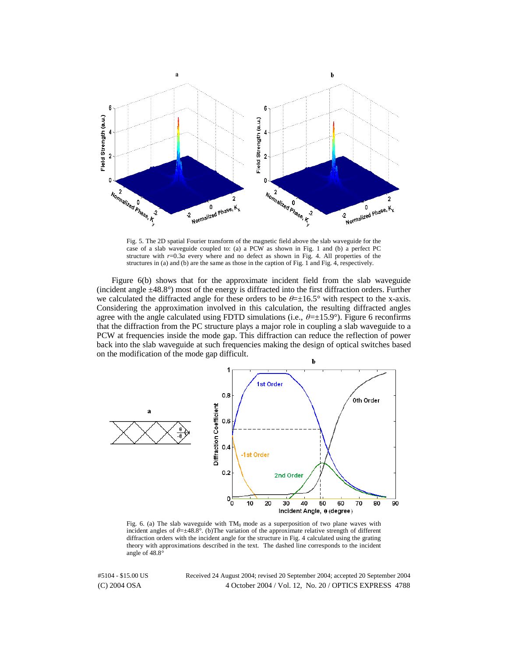

Fig. 5. The 2D spatial Fourier transform of the magnetic field above the slab waveguide for the case of a slab waveguide coupled to: (a) a PCW as shown in Fig. 1 and (b) a perfect PC structure with  $r=0.3a$  every where and no defect as shown in Fig. 4. All properties of the structures in (a) and (b) are the same as those in the caption of Fig. 1 and Fig. 4, respectively.

Figure 6(b) shows that for the approximate incident field from the slab waveguide (incident angle ±48.8°) most of the energy is diffracted into the first diffraction orders. Further we calculated the diffracted angle for these orders to be  $\theta = \pm 16.5^{\circ}$  with respect to the x-axis. Considering the approximation involved in this calculation, the resulting diffracted angles agree with the angle calculated using FDTD simulations (i.e.,  $\theta = \pm 15.9^{\circ}$ ). Figure 6 reconfirms that the diffraction from the PC structure plays a major role in coupling a slab waveguide to a PCW at frequencies inside the mode gap. This diffraction can reduce the reflection of power back into the slab waveguide at such frequencies making the design of optical switches based on the modification of the mode gap difficult.



Fig. 6. (a) The slab waveguide with  $TM_0$  mode as a superposition of two plane waves with incident angles of  $\theta = \pm 48.8^{\circ}$ . (b)The variation of the approximate relative strength of different diffraction orders with the incident angle for the structure in Fig. 4 calculated using the grating diffraction orders with the incident angle for the structure in Fig. 4 calculated using the grating theory with approximations described in the text. The dashed line corresponds to the incident angle of 48.8°

(C) 2004 OSA 4 October 2004 / Vol. 12, No. 20 / OPTICS EXPRESS 4788 #5104 - \$15.00 US Received 24 August 2004; revised 20 September 2004; accepted 20 September 2004